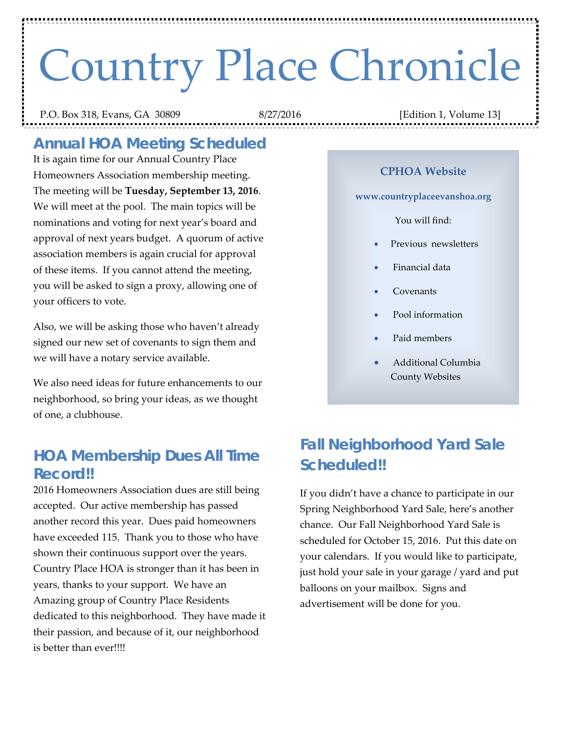# Country Place Chronicle

P.O. Box 318, Evans, GA 30809 8/27/2016 [Edition 1, Volume 13]

## *Annual HOA Meeting Scheduled*

It is again time for our Annual Country Place Homeowners Association membership meeting. The meeting will be **Tuesday, September 13, 2016**. We will meet at the pool. The main topics will be nominations and voting for next year's board and approval of next years budget. A quorum of active association members is again crucial for approval of these items. If you cannot attend the meeting, you will be asked to sign a proxy, allowing one of your officers to vote.

Also, we will be asking those who haven't already signed our new set of covenants to sign them and we will have a notary service available.

We also need ideas for future enhancements to our neighborhood, so bring your ideas, as we thought of one, a clubhouse.

# *HOA Membership Dues All Time Record!!*

2016 Homeowners Association dues are still being accepted. Our active membership has passed another record this year. Dues paid homeowners have exceeded 115. Thank you to those who have shown their continuous support over the years. Country Place HOA is stronger than it has been in years, thanks to your support. We have an Amazing group of Country Place Residents dedicated to this neighborhood. They have made it their passion, and because of it, our neighborhood is better than ever!!!!

#### **CPHOA Website**

#### **www.countryplaceevanshoa.org**

You will find:

- Previous newsletters
- Financial data
- Covenants
- Pool information
- Paid members
- Additional Columbia County Websites

# *Fall Neighborhood Yard Sale Scheduled!!*

If you didn't have a chance to participate in our Spring Neighborhood Yard Sale, here's another chance. Our Fall Neighborhood Yard Sale is scheduled for October 15, 2016. Put this date on your calendars. If you would like to participate, just hold your sale in your garage / yard and put balloons on your mailbox. Signs and advertisement will be done for you.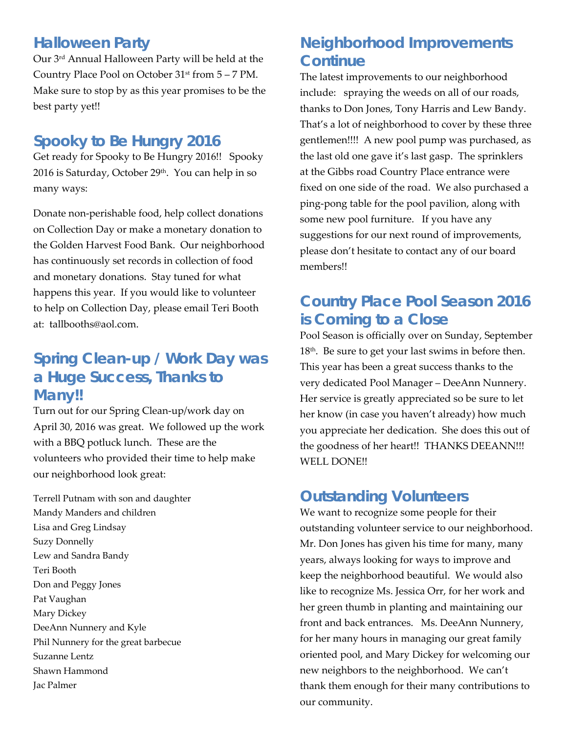### *Halloween Party*

Our 3rd Annual Halloween Party will be held at the Country Place Pool on October  $31<sup>st</sup>$  from  $5 - 7$  PM. Make sure to stop by as this year promises to be the best party yet!!

### *Spooky to Be Hungry 2016*

Get ready for Spooky to Be Hungry 2016!! Spooky 2016 is Saturday, October  $29<sup>th</sup>$ . You can help in so many ways:

Donate non‐perishable food, help collect donations on Collection Day or make a monetary donation to the Golden Harvest Food Bank. Our neighborhood has continuously set records in collection of food and monetary donations. Stay tuned for what happens this year. If you would like to volunteer to help on Collection Day, please email Teri Booth at: tallbooths@aol.com.

## *Spring Clean-up / Work Day was a Huge Success, Thanks to Many!!*

Turn out for our Spring Clean‐up/work day on April 30, 2016 was great. We followed up the work with a BBQ potluck lunch. These are the volunteers who provided their time to help make our neighborhood look great:

Terrell Putnam with son and daughter Mandy Manders and children Lisa and Greg Lindsay Suzy Donnelly Lew and Sandra Bandy Teri Booth Don and Peggy Jones Pat Vaughan Mary Dickey DeeAnn Nunnery and Kyle Phil Nunnery for the great barbecue Suzanne Lentz Shawn Hammond Jac Palmer

# *Neighborhood Improvements Continue*

The latest improvements to our neighborhood include: spraying the weeds on all of our roads, thanks to Don Jones, Tony Harris and Lew Bandy. That's a lot of neighborhood to cover by these three gentlemen!!!! A new pool pump was purchased, as the last old one gave it's last gasp. The sprinklers at the Gibbs road Country Place entrance were fixed on one side of the road. We also purchased a ping‐pong table for the pool pavilion, along with some new pool furniture. If you have any suggestions for our next round of improvements, please don't hesitate to contact any of our board members!!

# *Country Place Pool Season 2016 is Coming to a Close*

Pool Season is officially over on Sunday, September 18<sup>th</sup>. Be sure to get your last swims in before then. This year has been a great success thanks to the very dedicated Pool Manager – DeeAnn Nunnery. Her service is greatly appreciated so be sure to let her know (in case you haven't already) how much you appreciate her dedication. She does this out of the goodness of her heart!! THANKS DEEANN!!! WELL DONE!!

#### *Outstanding Volunteers*

We want to recognize some people for their outstanding volunteer service to our neighborhood. Mr. Don Jones has given his time for many, many years, always looking for ways to improve and keep the neighborhood beautiful. We would also like to recognize Ms. Jessica Orr, for her work and her green thumb in planting and maintaining our front and back entrances. Ms. DeeAnn Nunnery, for her many hours in managing our great family oriented pool, and Mary Dickey for welcoming our new neighbors to the neighborhood. We can't thank them enough for their many contributions to our community.